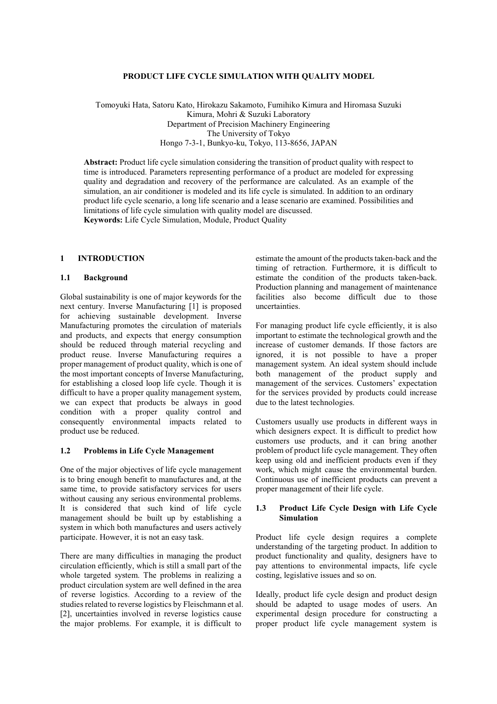### **PRODUCT LIFE CYCLE SIMULATION WITH QUALITY MODEL**

Tomoyuki Hata, Satoru Kato, Hirokazu Sakamoto, Fumihiko Kimura and Hiromasa Suzuki Kimura, Mohri & Suzuki Laboratory Department of Precision Machinery Engineering The University of Tokyo Hongo 7-3-1, Bunkyo-ku, Tokyo, 113-8656, JAPAN

**Abstract:** Product life cycle simulation considering the transition of product quality with respect to time is introduced. Parameters representing performance of a product are modeled for expressing quality and degradation and recovery of the performance are calculated. As an example of the simulation, an air conditioner is modeled and its life cycle is simulated. In addition to an ordinary product life cycle scenario, a long life scenario and a lease scenario are examined. Possibilities and limitations of life cycle simulation with quality model are discussed.

**Keywords:** Life Cycle Simulation, Module, Product Quality

### **1 INTRODUCTION**

## **1.1 Background**

Global sustainability is one of major keywords for the next century. Inverse Manufacturing [1] is proposed for achieving sustainable development. Inverse Manufacturing promotes the circulation of materials and products, and expects that energy consumption should be reduced through material recycling and product reuse. Inverse Manufacturing requires a proper management of product quality, which is one of the most important concepts of Inverse Manufacturing, for establishing a closed loop life cycle. Though it is difficult to have a proper quality management system, we can expect that products be always in good condition with a proper quality control and consequently environmental impacts related to product use be reduced.

### **1.2 Problems in Life Cycle Management**

One of the major objectives of life cycle management is to bring enough benefit to manufactures and, at the same time, to provide satisfactory services for users without causing any serious environmental problems. It is considered that such kind of life cycle management should be built up by establishing a system in which both manufactures and users actively participate. However, it is not an easy task.

There are many difficulties in managing the product circulation efficiently, which is still a small part of the whole targeted system. The problems in realizing a product circulation system are well defined in the area of reverse logistics. According to a review of the studies related to reverse logistics by Fleischmann et al. [2], uncertainties involved in reverse logistics cause the major problems. For example, it is difficult to

estimate the amount of the products taken-back and the timing of retraction. Furthermore, it is difficult to estimate the condition of the products taken-back. Production planning and management of maintenance facilities also become difficult due to those uncertainties.

For managing product life cycle efficiently, it is also important to estimate the technological growth and the increase of customer demands. If those factors are ignored, it is not possible to have a proper management system. An ideal system should include both management of the product supply and management of the services. Customers' expectation for the services provided by products could increase due to the latest technologies.

Customers usually use products in different ways in which designers expect. It is difficult to predict how customers use products, and it can bring another problem of product life cycle management. They often keep using old and inefficient products even if they work, which might cause the environmental burden. Continuous use of inefficient products can prevent a proper management of their life cycle.

## **1.3 Product Life Cycle Design with Life Cycle Simulation**

Product life cycle design requires a complete understanding of the targeting product. In addition to product functionality and quality, designers have to pay attentions to environmental impacts, life cycle costing, legislative issues and so on.

Ideally, product life cycle design and product design should be adapted to usage modes of users. An experimental design procedure for constructing a proper product life cycle management system is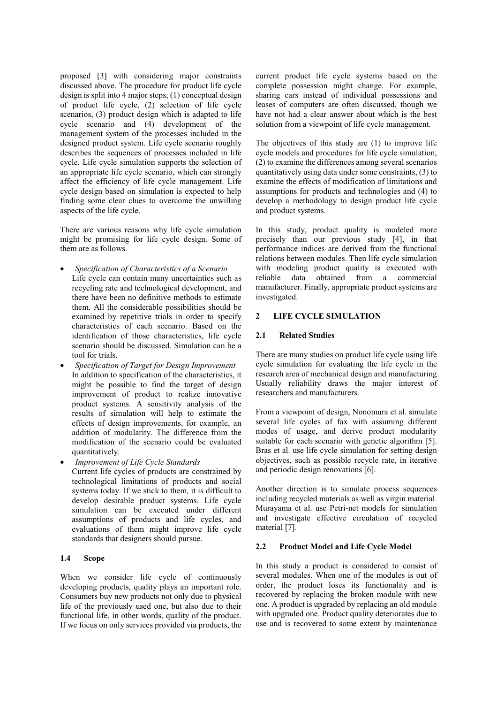proposed [3] with considering major constraints discussed above. The procedure for product life cycle design is split into 4 major steps; (1) conceptual design of product life cycle, (2) selection of life cycle scenarios, (3) product design which is adapted to life cycle scenario and (4) development of the management system of the processes included in the designed product system. Life cycle scenario roughly describes the sequences of processes included in life cycle. Life cycle simulation supports the selection of an appropriate life cycle scenario, which can strongly affect the efficiency of life cycle management. Life cycle design based on simulation is expected to help finding some clear clues to overcome the unwilling aspects of the life cycle.

There are various reasons why life cycle simulation might be promising for life cycle design. Some of them are as follows.

- *Specification of Characteristics of a Scenario* Life cycle can contain many uncertainties such as recycling rate and technological development, and there have been no definitive methods to estimate them. All the considerable possibilities should be examined by repetitive trials in order to specify characteristics of each scenario. Based on the identification of those characteristics, life cycle scenario should be discussed. Simulation can be a tool for trials.
- *Specification of Target for Design Improvement* In addition to specification of the characteristics, it might be possible to find the target of design improvement of product to realize innovative product systems. A sensitivity analysis of the results of simulation will help to estimate the effects of design improvements, for example, an addition of modularity. The difference from the modification of the scenario could be evaluated quantitatively.
- *Improvement of Life Cycle Standards* Current life cycles of products are constrained by technological limitations of products and social systems today. If we stick to them, it is difficult to develop desirable product systems. Life cycle simulation can be executed under different assumptions of products and life cycles, and evaluations of them might improve life cycle standards that designers should pursue.

# **1.4 Scope**

When we consider life cycle of continuously developing products, quality plays an important role. Consumers buy new products not only due to physical life of the previously used one, but also due to their functional life, in other words, quality of the product. If we focus on only services provided via products, the current product life cycle systems based on the complete possession might change. For example, sharing cars instead of individual possessions and leases of computers are often discussed, though we have not had a clear answer about which is the best solution from a viewpoint of life cycle management.

The objectives of this study are (1) to improve life cycle models and procedures for life cycle simulation, (2) to examine the differences among several scenarios quantitatively using data under some constraints, (3) to examine the effects of modification of limitations and assumptions for products and technologies and (4) to develop a methodology to design product life cycle and product systems.

In this study, product quality is modeled more precisely than our previous study [4], in that performance indices are derived from the functional relations between modules. Then life cycle simulation with modeling product quality is executed with reliable data obtained from a commercial manufacturer. Finally, appropriate product systems are investigated.

## **2 LIFE CYCLE SIMULATION**

### **2.1 Related Studies**

There are many studies on product life cycle using life cycle simulation for evaluating the life cycle in the research area of mechanical design and manufacturing. Usually reliability draws the major interest of researchers and manufacturers.

From a viewpoint of design, Nonomura et al. simulate several life cycles of fax with assuming different modes of usage, and derive product modularity suitable for each scenario with genetic algorithm [5]. Bras et al. use life cycle simulation for setting design objectives, such as possible recycle rate, in iterative and periodic design renovations [6].

Another direction is to simulate process sequences including recycled materials as well as virgin material. Murayama et al. use Petri-net models for simulation and investigate effective circulation of recycled material [7].

## **2.2 Product Model and Life Cycle Model**

In this study a product is considered to consist of several modules. When one of the modules is out of order, the product loses its functionality and is recovered by replacing the broken module with new one. A product is upgraded by replacing an old module with upgraded one. Product quality deteriorates due to use and is recovered to some extent by maintenance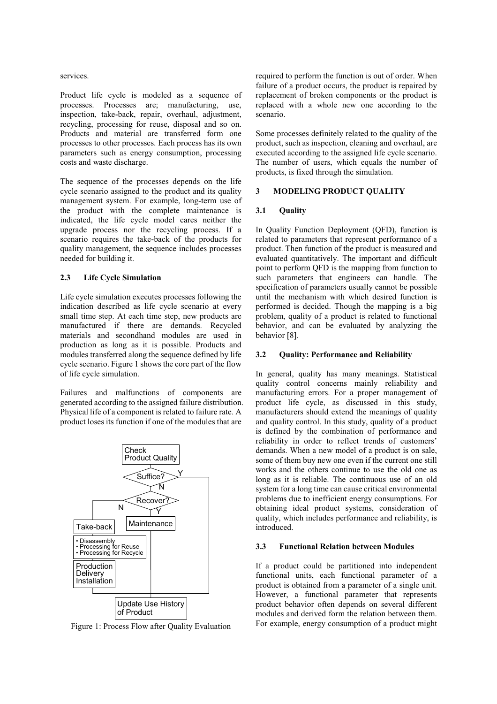services.

Product life cycle is modeled as a sequence of processes. Processes are; manufacturing, use, inspection, take-back, repair, overhaul, adjustment, recycling, processing for reuse, disposal and so on. Products and material are transferred form one processes to other processes. Each process has its own parameters such as energy consumption, processing costs and waste discharge.

The sequence of the processes depends on the life cycle scenario assigned to the product and its quality management system. For example, long-term use of the product with the complete maintenance is indicated, the life cycle model cares neither the upgrade process nor the recycling process. If a scenario requires the take-back of the products for quality management, the sequence includes processes needed for building it.

## **2.3 Life Cycle Simulation**

Life cycle simulation executes processes following the indication described as life cycle scenario at every small time step. At each time step, new products are manufactured if there are demands. Recycled materials and secondhand modules are used in production as long as it is possible. Products and modules transferred along the sequence defined by life cycle scenario. Figure 1 shows the core part of the flow of life cycle simulation.

Failures and malfunctions of components are generated according to the assigned failure distribution. Physical life of a component is related to failure rate. A product loses its function if one of the modules that are



Figure 1: Process Flow after Quality Evaluation

required to perform the function is out of order. When failure of a product occurs, the product is repaired by replacement of broken components or the product is replaced with a whole new one according to the scenario.

Some processes definitely related to the quality of the product, such as inspection, cleaning and overhaul, are executed according to the assigned life cycle scenario. The number of users, which equals the number of products, is fixed through the simulation.

# **3 MODELING PRODUCT QUALITY**

# **3.1 Quality**

In Quality Function Deployment (QFD), function is related to parameters that represent performance of a product. Then function of the product is measured and evaluated quantitatively. The important and difficult point to perform QFD is the mapping from function to such parameters that engineers can handle. The specification of parameters usually cannot be possible until the mechanism with which desired function is performed is decided. Though the mapping is a big problem, quality of a product is related to functional behavior, and can be evaluated by analyzing the behavior [8].

# **3.2 Quality: Performance and Reliability**

In general, quality has many meanings. Statistical quality control concerns mainly reliability and manufacturing errors. For a proper management of product life cycle, as discussed in this study, manufacturers should extend the meanings of quality and quality control. In this study, quality of a product is defined by the combination of performance and reliability in order to reflect trends of customers' demands. When a new model of a product is on sale, some of them buy new one even if the current one still works and the others continue to use the old one as long as it is reliable. The continuous use of an old system for a long time can cause critical environmental problems due to inefficient energy consumptions. For obtaining ideal product systems, consideration of quality, which includes performance and reliability, is introduced.

# **3.3 Functional Relation between Modules**

If a product could be partitioned into independent functional units, each functional parameter of a product is obtained from a parameter of a single unit. However, a functional parameter that represents product behavior often depends on several different modules and derived form the relation between them. For example, energy consumption of a product might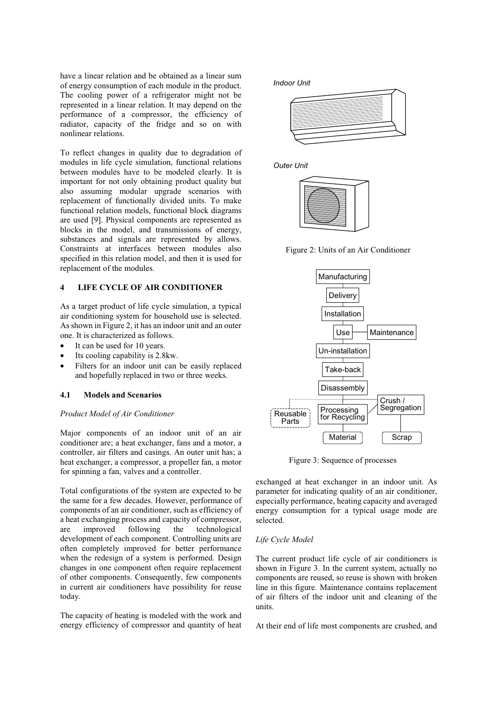have a linear relation and be obtained as a linear sum of energy consumption of each module in the product. The cooling power of a refrigerator might not be represented in a linear relation. It may depend on the performance of a compressor, the efficiency of radiator, capacity of the fridge and so on with nonlinear relations.

To reflect changes in quality due to degradation of modules in life cycle simulation, functional relations between modules have to be modeled clearly. It is important for not only obtaining product quality but also assuming modular upgrade scenarios with replacement of functionally divided units. To make functional relation models, functional block diagrams are used [9]. Physical components are represented as blocks in the model, and transmissions of energy, substances and signals are represented by allows. Constraints at interfaces between modules also specified in this relation model, and then it is used for replacement of the modules.

## **4 LIFE CYCLE OF AIR CONDITIONER**

As a target product of life cycle simulation, a typical air conditioning system for household use is selected. As shown in Figure 2, it has an indoor unit and an outer one. It is characterized as follows.

- It can be used for 10 years.
- Its cooling capability is 2.8kw.
- Filters for an indoor unit can be easily replaced and hopefully replaced in two or three weeks.

#### **4.1 Models and Scenarios**

### *Product Model of Air Conditioner*

Major components of an indoor unit of an air conditioner are; a heat exchanger, fans and a motor, a controller, air filters and casings. An outer unit has; a heat exchanger, a compressor, a propeller fan, a motor for spinning a fan, valves and a controller.

Total configurations of the system are expected to be the same for a few decades. However, performance of components of an air conditioner, such as efficiency of a heat exchanging process and capacity of compressor, are improved following the technological development of each component. Controlling units are often completely improved for better performance when the redesign of a system is performed. Design changes in one component often require replacement of other components. Consequently, few components in current air conditioners have possibility for reuse today.

The capacity of heating is modeled with the work and energy efficiency of compressor and quantity of heat *Indoor Unit*







Figure 2: Units of an Air Conditioner



Figure 3: Sequence of processes

exchanged at heat exchanger in an indoor unit. As parameter for indicating quality of an air conditioner, especially performance, heating capacity and averaged energy consumption for a typical usage mode are selected.

#### *Life Cycle Model*

The current product life cycle of air conditioners is shown in Figure 3. In the current system, actually no components are reused, so reuse is shown with broken line in this figure. Maintenance contains replacement of air filters of the indoor unit and cleaning of the units.

At their end of life most components are crushed, and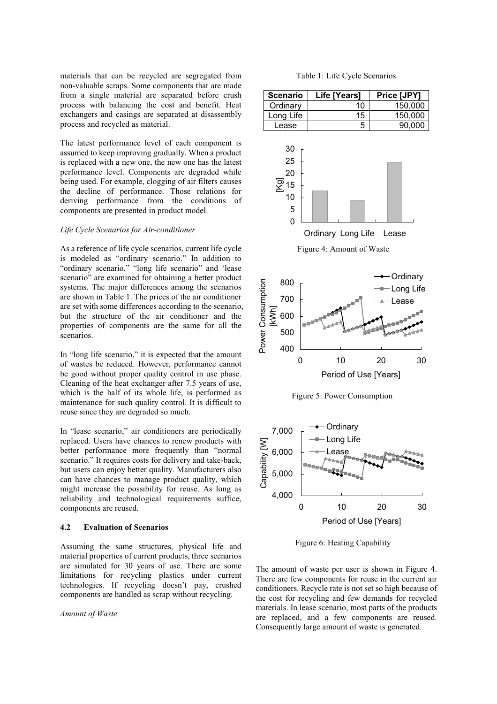materials that can be recycled are segregated from non-valuable scraps. Some components that are made from a single material are separated before crush process with balancing the cost and benefit. Heat exchangers and casings are separated at disassembly process and recycled as material.

The latest performance level of each component is assumed to keep improving gradually. When a product is replaced with a new one, the new one has the latest performance level. Components are degraded while being used. For example, clogging of air filters causes the decline of performance. Those relations for deriving performance from the conditions of components are presented in product model.

### *Life Cycle Scenarios for Air-conditioner*

As a reference of life cycle scenarios, current life cycle is modeled as "ordinary scenario." In addition to "ordinary scenario," "long life scenario" and 'lease scenario" are examined for obtaining a better product systems. The major differences among the scenarios are shown in Table 1. The prices of the air conditioner are set with some differences according to the scenario, but the structure of the air conditioner and the properties of components are the same for all the scenarios.

In "long life scenario," it is expected that the amount of wastes be reduced. However, performance cannot be good without proper quality control in use phase. Cleaning of the heat exchanger after 7.5 years of use, which is the half of its whole life, is performed as maintenance for such quality control. It is difficult to reuse since they are degraded so much.

In "lease scenario," air conditioners are periodically replaced. Users have chances to renew products with better performance more frequently than "normal scenario." It requires costs for delivery and take-back, but users can enjoy better quality. Manufacturers also can have chances to manage product quality, which might increase the possibility for reuse. As long as reliability and technological requirements suffice, components are reused.

## **4.2 Evaluation of Scenarios**

Assuming the same structures, physical life and material properties of current products, three scenarios are simulated for 30 years of use. There are some limitations for recycling plastics under current technologies. If recycling doesn't pay, crushed components are handled as scrap without recycling.

### *Amount of Waste*

Table 1: Life Cycle Scenarios

| <b>Scenario</b> | Life [Years] | Price [JPY] |
|-----------------|--------------|-------------|
| Ordinary        | 10.          | 150.000     |
| Long Life       | 15           | 150,000     |
| Lease           |              | 90.000      |



Figure 5: Power Consumption



Figure 6: Heating Capability

The amount of waste per user is shown in Figure 4. There are few components for reuse in the current air conditioners. Recycle rate is not set so high because of the cost for recycling and few demands for recycled materials. In lease scenario, most parts of the products are replaced, and a few components are reused. Consequently large amount of waste is generated.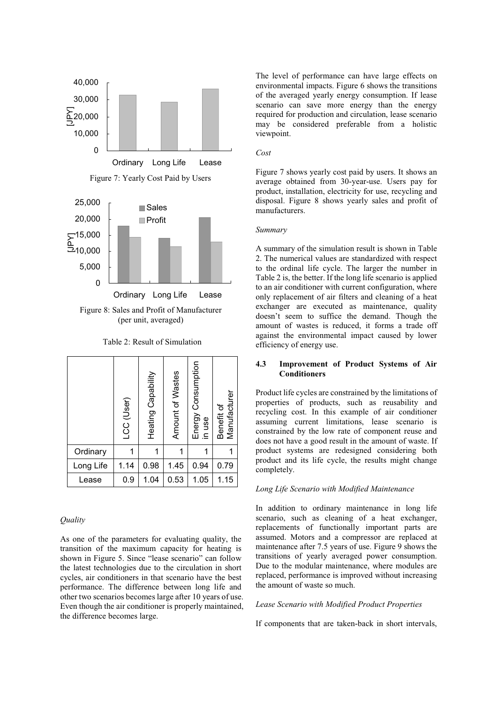

(per unit, averaged)

Table 2: Result of Simulation

|           | LCC (User) | Heating Capability | Amount of Wastes | Energy Consumption<br>in use | Manufacturer<br>Benefit of |
|-----------|------------|--------------------|------------------|------------------------------|----------------------------|
| Ordinary  |            | 1                  |                  |                              |                            |
| Long Life | 1.14       | 0.98               | 1.45             | 0.94                         | 0.79                       |
| Lease     | 0.9        | 1.04               | 0.53             | 1.05                         | 1.15                       |

## *Quality*

As one of the parameters for evaluating quality, the transition of the maximum capacity for heating is shown in Figure 5. Since "lease scenario" can follow the latest technologies due to the circulation in short cycles, air conditioners in that scenario have the best performance. The difference between long life and other two scenarios becomes large after 10 years of use. Even though the air conditioner is properly maintained, the difference becomes large.

The level of performance can have large effects on environmental impacts. Figure 6 shows the transitions of the averaged yearly energy consumption. If lease scenario can save more energy than the energy required for production and circulation, lease scenario may be considered preferable from a holistic viewpoint.

#### *Cost*

Figure 7 shows yearly cost paid by users. It shows an average obtained from 30-year-use. Users pay for product, installation, electricity for use, recycling and disposal. Figure 8 shows yearly sales and profit of manufacturers.

### *Summary*

A summary of the simulation result is shown in Table 2. The numerical values are standardized with respect to the ordinal life cycle. The larger the number in Table 2 is, the better. If the long life scenario is applied to an air conditioner with current configuration, where only replacement of air filters and cleaning of a heat exchanger are executed as maintenance, quality doesn't seem to suffice the demand. Though the amount of wastes is reduced, it forms a trade off against the environmental impact caused by lower efficiency of energy use.

# **4.3 Improvement of Product Systems of Air Conditioners**

Product life cycles are constrained by the limitations of properties of products, such as reusability and recycling cost. In this example of air conditioner assuming current limitations, lease scenario is constrained by the low rate of component reuse and does not have a good result in the amount of waste. If product systems are redesigned considering both product and its life cycle, the results might change completely.

## *Long Life Scenario with Modified Maintenance*

In addition to ordinary maintenance in long life scenario, such as cleaning of a heat exchanger, replacements of functionally important parts are assumed. Motors and a compressor are replaced at maintenance after 7.5 years of use. Figure 9 shows the transitions of yearly averaged power consumption. Due to the modular maintenance, where modules are replaced, performance is improved without increasing the amount of waste so much.

#### *Lease Scenario with Modified Product Properties*

If components that are taken-back in short intervals,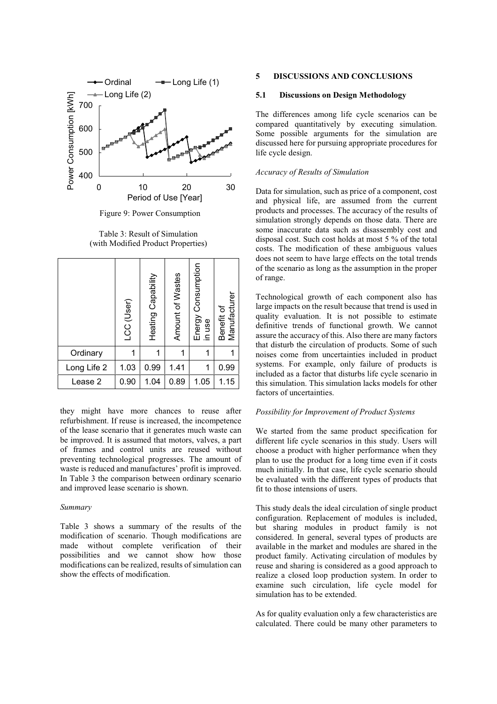

Figure 9: Power Consumption

Table 3: Result of Simulation (with Modified Product Properties)

|             | LCC (User) | Heating Capability | Amount of Wastes | Energy Consumption<br>in use | Manufacturer<br>Benefit of |
|-------------|------------|--------------------|------------------|------------------------------|----------------------------|
| Ordinary    |            |                    |                  |                              |                            |
| Long Life 2 | 1.03       | 0.99               | 1.41             | 1                            | 0.99                       |
| Lease 2     | 0.90       | 1.04               | 0.89             | 1.05                         | 1.15                       |

they might have more chances to reuse after refurbishment. If reuse is increased, the incompetence of the lease scenario that it generates much waste can be improved. It is assumed that motors, valves, a part of frames and control units are reused without preventing technological progresses. The amount of waste is reduced and manufactures' profit is improved. In Table 3 the comparison between ordinary scenario and improved lease scenario is shown.

### *Summary*

Table 3 shows a summary of the results of the modification of scenario. Though modifications are made without complete verification of their possibilities and we cannot show how those modifications can be realized, results of simulation can show the effects of modification.

### **5 DISCUSSIONS AND CONCLUSIONS**

## **5.1 Discussions on Design Methodology**

The differences among life cycle scenarios can be compared quantitatively by executing simulation. Some possible arguments for the simulation are discussed here for pursuing appropriate procedures for life cycle design.

# *Accuracy of Results of Simulation*

Data for simulation, such as price of a component, cost and physical life, are assumed from the current products and processes. The accuracy of the results of simulation strongly depends on those data. There are some inaccurate data such as disassembly cost and disposal cost. Such cost holds at most 5 % of the total costs. The modification of these ambiguous values does not seem to have large effects on the total trends of the scenario as long as the assumption in the proper of range.

Technological growth of each component also has large impacts on the result because that trend is used in quality evaluation. It is not possible to estimate definitive trends of functional growth. We cannot assure the accuracy of this. Also there are many factors that disturb the circulation of products. Some of such noises come from uncertainties included in product systems. For example, only failure of products is included as a factor that disturbs life cycle scenario in this simulation. This simulation lacks models for other factors of uncertainties.

### *Possibility for Improvement of Product Systems*

We started from the same product specification for different life cycle scenarios in this study. Users will choose a product with higher performance when they plan to use the product for a long time even if it costs much initially. In that case, life cycle scenario should be evaluated with the different types of products that fit to those intensions of users.

This study deals the ideal circulation of single product configuration. Replacement of modules is included, but sharing modules in product family is not considered. In general, several types of products are available in the market and modules are shared in the product family. Activating circulation of modules by reuse and sharing is considered as a good approach to realize a closed loop production system. In order to examine such circulation, life cycle model for simulation has to be extended.

As for quality evaluation only a few characteristics are calculated. There could be many other parameters to